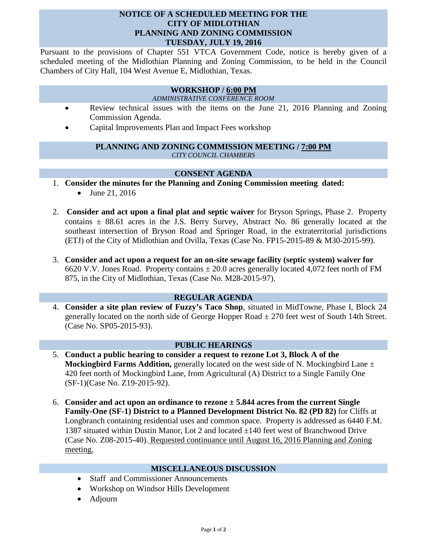## **NOTICE OF A SCHEDULED MEETING FOR THE CITY OF MIDLOTHIAN PLANNING AND ZONING COMMISSION TUESDAY, JULY 19, 2016**

Pursuant to the provisions of Chapter 551 VTCA Government Code, notice is hereby given of a scheduled meeting of the Midlothian Planning and Zoning Commission, to be held in the Council Chambers of City Hall, 104 West Avenue E, Midlothian, Texas.

# **WORKSHOP / 6:00 PM**

#### *ADMINISTRATIVE CONFERENCE ROOM*

- Review technical issues with the items on the June 21, 2016 Planning and Zoning Commission Agenda.
- Capital Improvements Plan and Impact Fees workshop

#### **PLANNING AND ZONING COMMISSION MEETING / 7:00 PM** *CITY COUNCIL CHAMBERS*

## **CONSENT AGENDA**

- 1. **Consider the minutes for the Planning and Zoning Commission meeting dated:** 
	- June 21, 2016
- 2. **Consider and act upon a final plat and septic waiver** for Bryson Springs, Phase 2. Property contains  $\pm$  88.61 acres in the J.S. Berry Survey, Abstract No. 86 generally located at the southeast intersection of Bryson Road and Springer Road, in the extraterritorial jurisdictions (ETJ) of the City of Midlothian and Ovilla, Texas (Case No. FP15-2015-89 & M30-2015-99).
- 3. **Consider and act upon a request for an on-site sewage facility (septic system) waiver for**  6620 V.V. Jones Road. Property contains  $\pm$  20.0 acres generally located 4,072 feet north of FM 875, in the City of Midlothian, Texas (Case No. M28-2015-97).

## **REGULAR AGENDA**

4. **Consider a site plan review of Fuzzy's Taco Shop**, situated in MidTowne, Phase I, Block 24 generally located on the north side of George Hopper Road  $\pm$  270 feet west of South 14th Street. (Case No. SP05-2015-93).

## **PUBLIC HEARINGS**

- 5. **Conduct a public hearing to consider a request to rezone Lot 3, Block A of the Mockingbird Farms Addition,** generally located on the west side of N. Mockingbird Lane  $\pm$ 420 feet north of Mockingbird Lane, from Agricultural (A) District to a Single Family One (SF-1)(Case No. Z19-2015-92).
- 6. **Consider and act upon an ordinance to rezone ± 5.844 acres from the current Single Family-One (SF-1) District to a Planned Development District No. 82 (PD 82)** for Cliffs at Longbranch containing residential uses and common space. Property is addressed as 6440 F.M. 1387 situated within Dustin Manor, Lot 2 and located  $\pm$ 140 feet west of Branchwood Drive (Case No. Z08-2015-40). Requested continuance until August 16, 2016 Planning and Zoning meeting.

#### **MISCELLANEOUS DISCUSSION**

- Staff and Commissioner Announcements
- Workshop on Windsor Hills Development
- Adjourn